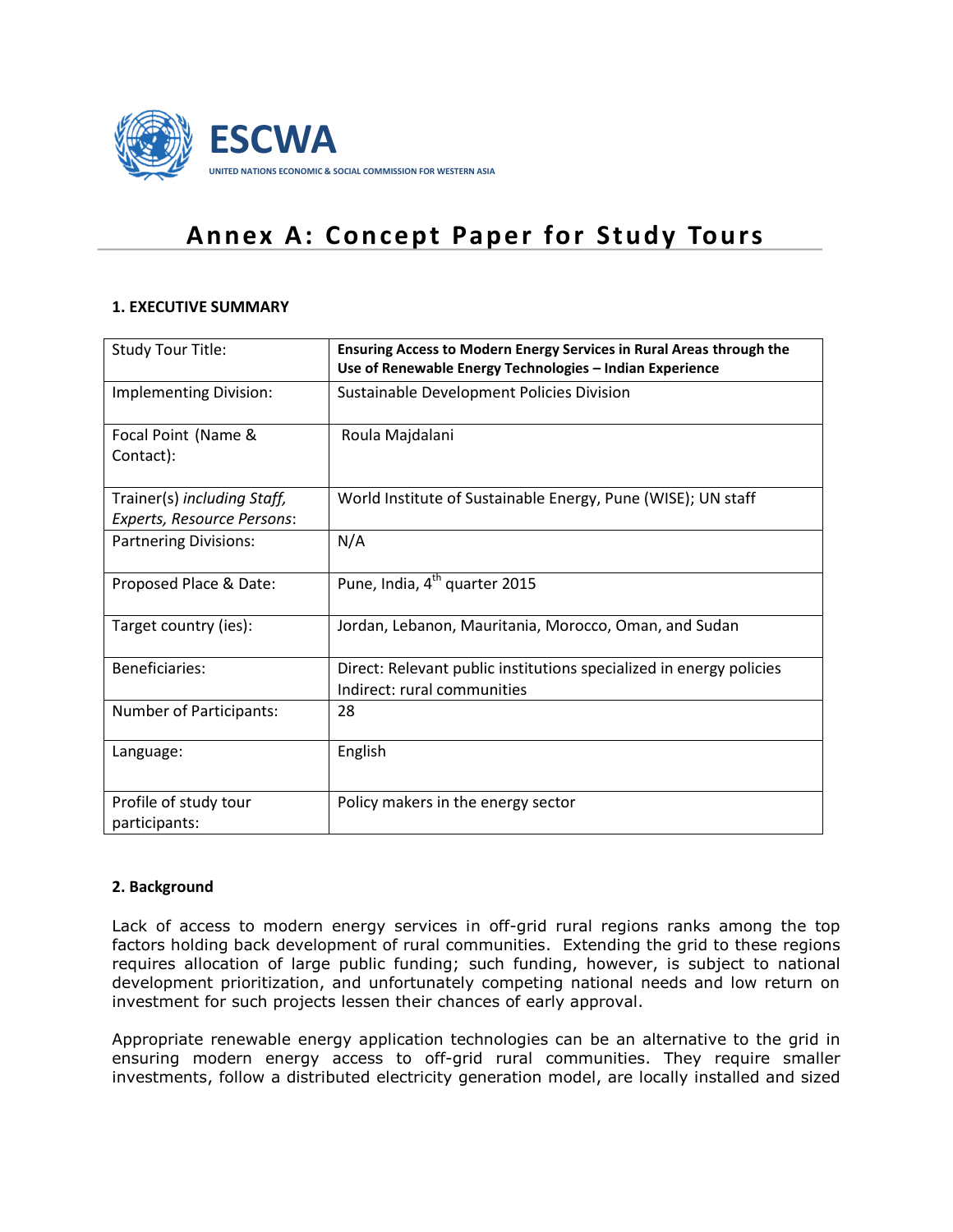

# **Annex A: Concept Paper for Study Tours**

## **1. EXECUTIVE SUMMARY**

| Study Tour Title:                                         | Ensuring Access to Modern Energy Services in Rural Areas through the<br>Use of Renewable Energy Technologies - Indian Experience |
|-----------------------------------------------------------|----------------------------------------------------------------------------------------------------------------------------------|
| Implementing Division:                                    | Sustainable Development Policies Division                                                                                        |
| Focal Point (Name &<br>Contact):                          | Roula Majdalani                                                                                                                  |
| Trainer(s) including Staff,<br>Experts, Resource Persons: | World Institute of Sustainable Energy, Pune (WISE); UN staff                                                                     |
| <b>Partnering Divisions:</b>                              | N/A                                                                                                                              |
| Proposed Place & Date:                                    | Pune, India, 4 <sup>th</sup> quarter 2015                                                                                        |
| Target country (ies):                                     | Jordan, Lebanon, Mauritania, Morocco, Oman, and Sudan                                                                            |
| Beneficiaries:                                            | Direct: Relevant public institutions specialized in energy policies<br>Indirect: rural communities                               |
| Number of Participants:                                   | 28                                                                                                                               |
| Language:                                                 | English                                                                                                                          |
| Profile of study tour<br>participants:                    | Policy makers in the energy sector                                                                                               |

#### **2. Background**

Lack of access to modern energy services in off-grid rural regions ranks among the top factors holding back development of rural communities. Extending the grid to these regions requires allocation of large public funding; such funding, however, is subject to national development prioritization, and unfortunately competing national needs and low return on investment for such projects lessen their chances of early approval.

Appropriate renewable energy application technologies can be an alternative to the grid in ensuring modern energy access to off-grid rural communities. They require smaller investments, follow a distributed electricity generation model, are locally installed and sized